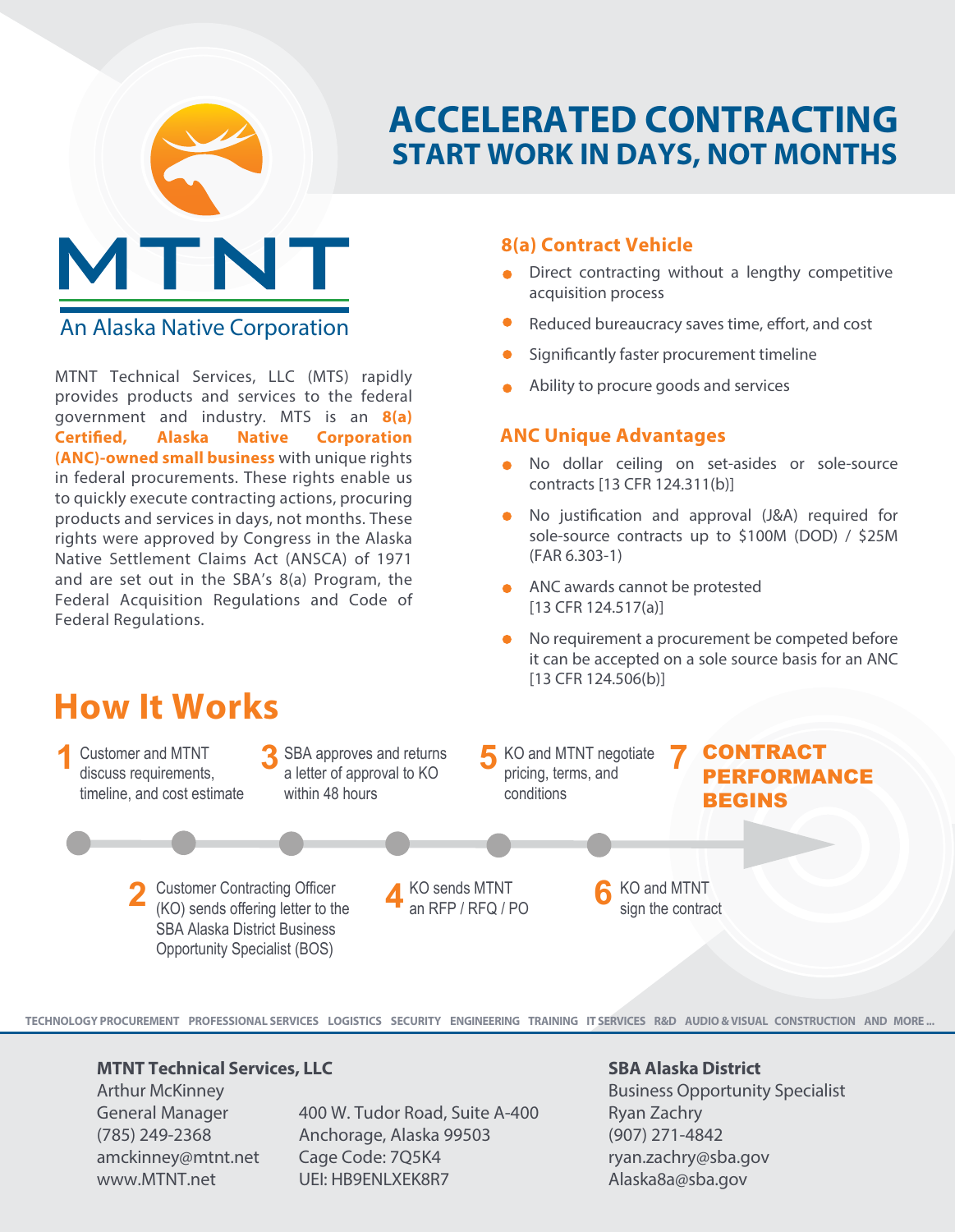

# **ACCELERATED CONTRACTING START WORK IN DAYS, NOT MONTHS**

# An Alaska Native Corporation

MTNT Technical Services, LLC (MTS) rapidly provides products and services to the federal government and industry. MTS is an **8(a) Certified, Alaska Native Corporation (ANC)-owned small business** with unique rights in federal procurements. These rights enable us to quickly execute contracting actions, procuring products and services in days, not months. These rights were approved by Congress in the Alaska Native Settlement Claims Act (ANSCA) of 1971 and are set out in the SBA's 8(a) Program, the Federal Acquisition Regulations and Code of Federal Regulations.

## **8(a) Contract Vehicle**

- Direct contracting without a lengthy competitive acquisition process
- Reduced bureaucracy saves time, effort, and cost
- Significantly faster procurement timeline
- Ability to procure goods and services

## **ANC Unique Advantages**

- No dollar ceiling on set-asides or sole-source contracts [13 CFR 124.311(b)]
- No justification and approval (J&A) required for  $\bullet$ sole-source contracts up to \$100M (DOD) / \$25M (FAR 6.303-1)
- **ANC** awards cannot be protested [13 CFR 124.517(a)]
- No requirement a procurement be competed before it can be accepted on a sole source basis for an ANC [13 CFR 124.506(b)]
- **1 2 3 4 5 6** Customer and MTNT<br> **3** GBA approves and returns **5** KO and MTNT negotiate **7**<br> **1** a letter of approval to KO **1** bricing, terms, and discuss requirements, timeline, and cost estimate Customer Contracting Officer (KO) sends offering letter to the SBA Alaska District Business Opportunity Specialist (BOS) a letter of approval to KO within 48 hours KO sends MTNT an RFP / RFQ / PO KO and MTNT negotiate pricing, terms, and conditions KO and MTNT sign the contract CONTRACT PERFORMANCE BEGINS

**TECHNOLOGY PROCUREMENT PROFESSIONAL SERVICES LOGISTICS SECURITY ENGINEERING TRAINING IT SERVICES R&D AUDIO & VISUAL CONSTRUCTION AND MORE ...**

#### **MTNT Technical Services, LLC**

Arthur McKinney General Manager (785) 249-2368 amckinney@mtnt.net www.MTNT.net

**How It Works**

400 W. Tudor Road, Suite A-400 Anchorage, Alaska 99503 Cage Code: 7Q5K4 UEI: HB9ENLXEK8R7

#### **SBA Alaska District**

Business Opportunity Specialist Ryan Zachry (907) 271-4842 ryan.zachry@sba.gov Alaska8a@sba.gov